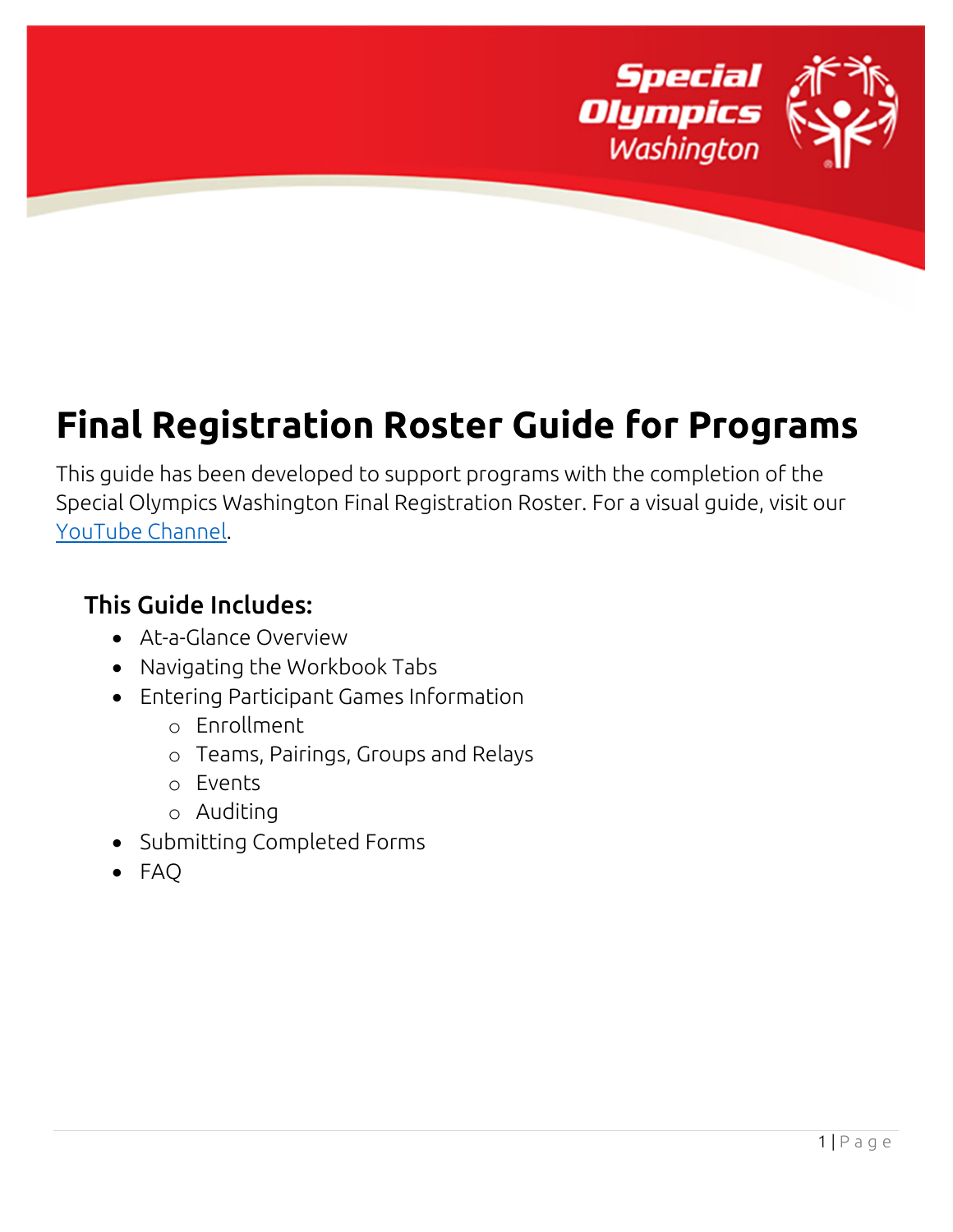

# **Final Registration Roster Guide for Programs**

This guide has been developed to support programs with the completion of the Special Olympics Washington Final Registration Roster. For a visual guide, visit our [YouTube Channel.](https://www.youtube.com/user/sowateam/videos)

## This Guide Includes:

- At-a-Glance Overview
- Navigating the Workbook Tabs
- Entering Participant Games Information
	- o Enrollment
	- o Teams, Pairings, Groups and Relays
	- o Events
	- o Auditing
- Submitting Completed Forms
- FAQ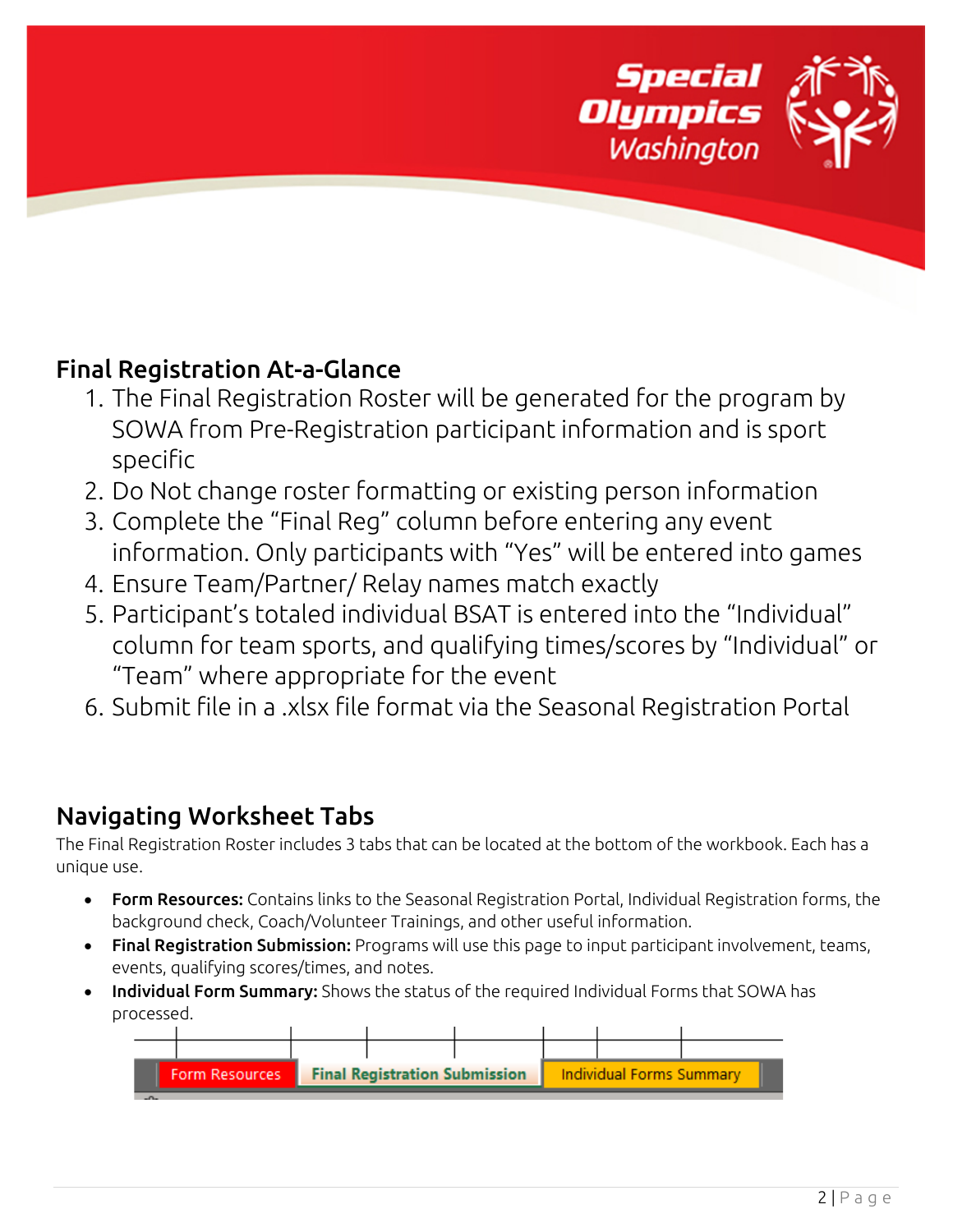

## Final Registration At-a-Glance

- 1. The Final Registration Roster will be generated for the program by SOWA from Pre-Registration participant information and is sport specific
- 2. Do Not change roster formatting or existing person information
- 3. Complete the "Final Reg" column before entering any event information. Only participants with "Yes" will be entered into games
- 4. Ensure Team/Partner/ Relay names match exactly
- 5. Participant's totaled individual BSAT is entered into the "Individual" column for team sports, and qualifying times/scores by "Individual" or "Team" where appropriate for the event
- 6. Submit file in a .xlsx file format via the Seasonal Registration Portal

## Navigating Worksheet Tabs

The Final Registration Roster includes 3 tabs that can be located at the bottom of the workbook. Each has a unique use.

- Form Resources: Contains links to the Seasonal Registration Portal, Individual Registration forms, the background check, Coach/Volunteer Trainings, and other useful information.
- Final Registration Submission: Programs will use this page to input participant involvement, teams, events, qualifying scores/times, and notes.
- Individual Form Summary: Shows the status of the required Individual Forms that SOWA has processed.

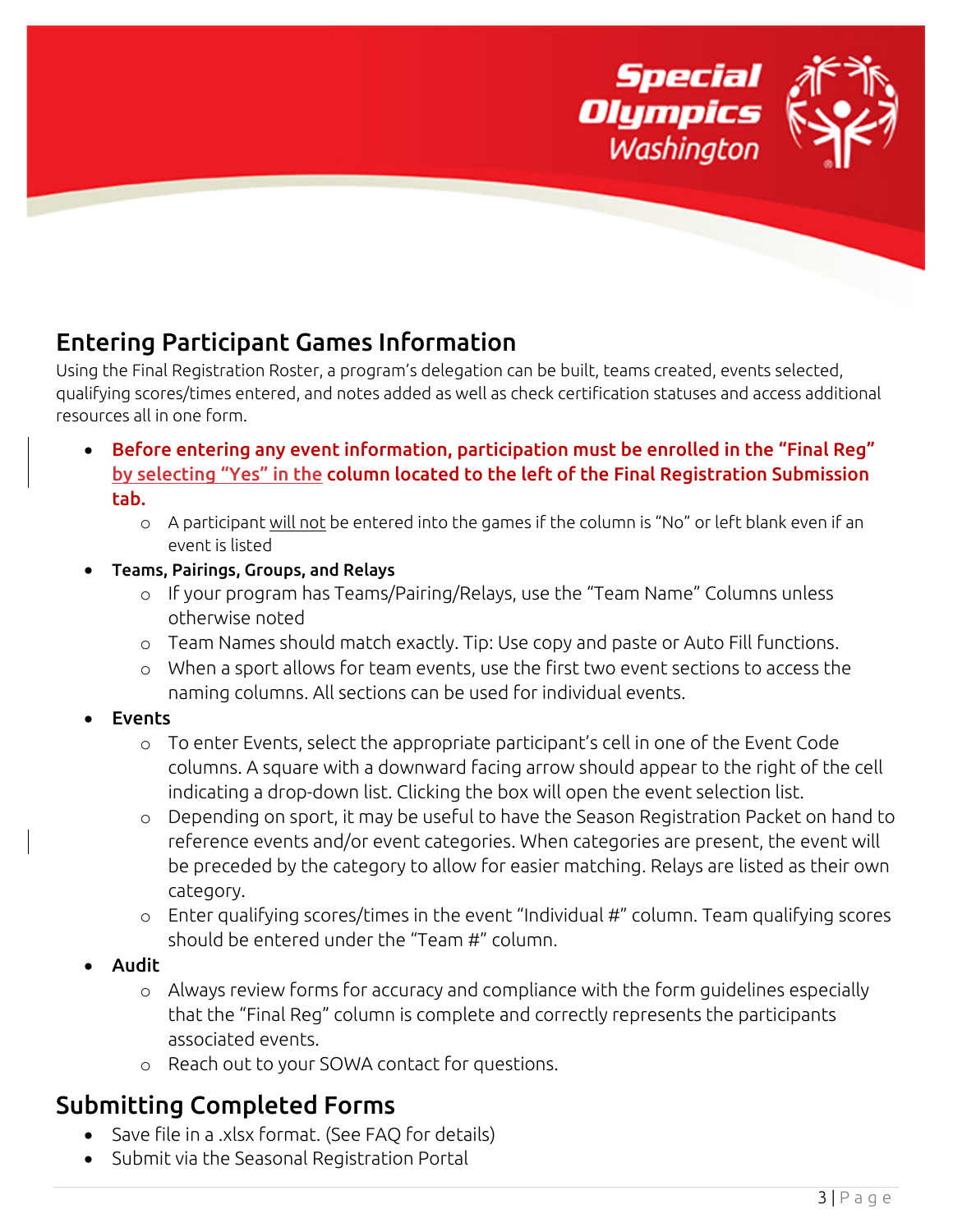

## Entering Participant Games Information

Using the Final Registration Roster, a program's delegation can be built, teams created, events selected, qualifying scores/times entered, and notes added as well as check certification statuses and access additional resources all in one form.

- Before entering any event information, participation must be enrolled in the "Final Reg" by selecting "Yes" in the column located to the left of the Final Registration Submission tab.
	- o A participant will not be entered into the games if the column is "No" or left blank even if an event is listed
- Teams, Pairings, Groups, and Relays
	- o If your program has Teams/Pairing/Relays, use the "Team Name" Columns unless otherwise noted
	- o Team Names should match exactly. Tip: Use copy and paste or Auto Fill functions.
	- o When a sport allows for team events, use the first two event sections to access the naming columns. All sections can be used for individual events.
- **Events** 
	- o To enter Events, select the appropriate participant's cell in one of the Event Code columns. A square with a downward facing arrow should appear to the right of the cell indicating a drop-down list. Clicking the box will open the event selection list.
	- o Depending on sport, it may be useful to have the Season Registration Packet on hand to reference events and/or event categories. When categories are present, the event will be preceded by the category to allow for easier matching. Relays are listed as their own category.
	- o Enter qualifying scores/times in the event "Individual #" column. Team qualifying scores should be entered under the "Team #" column.
- Audit
	- o Always review forms for accuracy and compliance with the form guidelines especially that the "Final Reg" column is complete and correctly represents the participants associated events.
	- o Reach out to your SOWA contact for questions.

# Submitting Completed Forms

- Save file in a .xlsx format. (See FAQ for details)
- Submit via the Seasonal Registration Portal